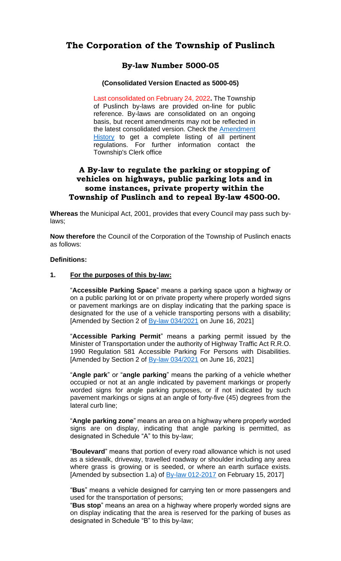### **The Corporation of the Township of Puslinch**

### **By-law Number 5000-05**

#### **(Consolidated Version Enacted as 5000-05)**

Last consolidated on February 24, 2022**.** The Township of Puslinch by-laws are provided on-line for public reference. By-laws are consolidated on an ongoing basis, but recent amendments may not be reflected in the latest consolidated version. Check the [Amendment](#page-23-0)  [History](#page-23-0) to get a complete listing of all pertinent regulations. For further information contact the Township's Clerk office

### **A By-law to regulate the parking or stopping of vehicles on highways, public parking lots and in some instances, private property within the Township of Puslinch and to repeal By-law 4500-00.**

**Whereas** the Municipal Act, 2001, provides that every Council may pass such bylaws;

**Now therefore** the Council of the Corporation of the Township of Puslinch enacts as follows:

#### **Definitions:**

#### **1. For the purposes of this by-law:**

"**Accessible Parking Space**" means a parking space upon a highway or on a public parking lot or on private property where properly worded signs or pavement markings are on display indicating that the parking space is designated for the use of a vehicle transporting persons with a disability; [Amended by Section 2 of  $\frac{By-law 034/2021}{Byn}$  on June 16, 2021]

"**Accessible Parking Permit**" means a parking permit issued by the Minister of Transportation under the authority of Highway Traffic Act R.R.O. 1990 Regulation 581 Accessible Parking For Persons with Disabilities. [Amended by Section 2 of  $\frac{By-law 034/2021}{1}$  on June 16, 2021]

"**Angle park**" or "**angle parking**" means the parking of a vehicle whether occupied or not at an angle indicated by pavement markings or properly worded signs for angle parking purposes, or if not indicated by such pavement markings or signs at an angle of forty-five (45) degrees from the lateral curb line;

"**Angle parking zone**" means an area on a highway where properly worded signs are on display, indicating that angle parking is permitted, as designated in Schedule "A" to this by-law;

"**Boulevard**" means that portion of every road allowance which is not used as a sidewalk, driveway, travelled roadway or shoulder including any area where grass is growing or is seeded, or where an earth surface exists. [Amended by subsection 1.a) of  $\frac{By-law 012-2017}{By}$  on February 15, 2017]

"**Bus**" means a vehicle designed for carrying ten or more passengers and used for the transportation of persons;

"**Bus stop**" means an area on a highway where properly worded signs are on display indicating that the area is reserved for the parking of buses as designated in Schedule "B" to this by-law;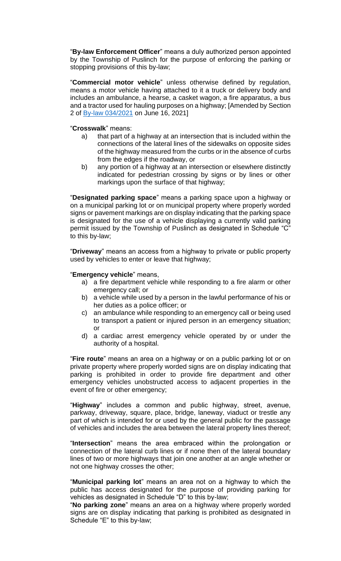"**By-law Enforcement Officer**" means a duly authorized person appointed by the Township of Puslinch for the purpose of enforcing the parking or stopping provisions of this by-law;

"**Commercial motor vehicle**" unless otherwise defined by regulation, means a motor vehicle having attached to it a truck or delivery body and includes an ambulance, a hearse, a casket wagon, a fire apparatus, a bus and a tractor used for hauling purposes on a highway; [Amended by Section 2 of [By-law 034/2021](https://puslinch.ca/wp-content/uploads/2022/02/BL2021-034-Parking-By-law-Amendment.pdf) on June 16, 2021]

#### "**Crosswalk**" means:

- a) that part of a highway at an intersection that is included within the connections of the lateral lines of the sidewalks on opposite sides of the highway measured from the curbs or in the absence of curbs from the edges if the roadway, or
- b) any portion of a highway at an intersection or elsewhere distinctly indicated for pedestrian crossing by signs or by lines or other markings upon the surface of that highway;

"**Designated parking space**" means a parking space upon a highway or on a municipal parking lot or on municipal property where properly worded signs or pavement markings are on display indicating that the parking space is designated for the use of a vehicle displaying a currently valid parking permit issued by the Township of Puslinch as designated in Schedule "C" to this by-law;

"**Driveway**" means an access from a highway to private or public property used by vehicles to enter or leave that highway;

#### "**Emergency vehicle**" means,

- a) a fire department vehicle while responding to a fire alarm or other emergency call; or
- b) a vehicle while used by a person in the lawful performance of his or her duties as a police officer; or
- c) an ambulance while responding to an emergency call or being used to transport a patient or injured person in an emergency situation; or
- d) a cardiac arrest emergency vehicle operated by or under the authority of a hospital.

"**Fire route**" means an area on a highway or on a public parking lot or on private property where properly worded signs are on display indicating that parking is prohibited in order to provide fire department and other emergency vehicles unobstructed access to adjacent properties in the event of fire or other emergency;

"**Highway**" includes a common and public highway, street, avenue, parkway, driveway, square, place, bridge, laneway, viaduct or trestle any part of which is intended for or used by the general public for the passage of vehicles and includes the area between the lateral property lines thereof;

"**Intersection**" means the area embraced within the prolongation or connection of the lateral curb lines or if none then of the lateral boundary lines of two or more highways that join one another at an angle whether or not one highway crosses the other;

"**Municipal parking lot**" means an area not on a highway to which the public has access designated for the purpose of providing parking for vehicles as designated in Schedule "D" to this by-law;

"**No parking zone**" means an area on a highway where properly worded signs are on display indicating that parking is prohibited as designated in Schedule "E" to this by-law;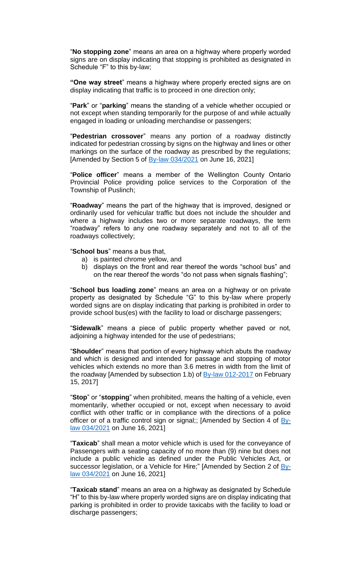"**No stopping zone**" means an area on a highway where properly worded signs are on display indicating that stopping is prohibited as designated in Schedule "F" to this by-law;

**"One way street**" means a highway where properly erected signs are on display indicating that traffic is to proceed in one direction only;

"**Park**" or "**parking**" means the standing of a vehicle whether occupied or not except when standing temporarily for the purpose of and while actually engaged in loading or unloading merchandise or passengers;

"**Pedestrian crossover**" means any portion of a roadway distinctly indicated for pedestrian crossing by signs on the highway and lines or other markings on the surface of the roadway as prescribed by the regulations; [Amended by Section 5 of  $By-law 034/2021$  on June 16, 2021]

"**Police officer**" means a member of the Wellington County Ontario Provincial Police providing police services to the Corporation of the Township of Puslinch;

"**Roadway**" means the part of the highway that is improved, designed or ordinarily used for vehicular traffic but does not include the shoulder and where a highway includes two or more separate roadways, the term "roadway" refers to any one roadway separately and not to all of the roadways collectively;

"**School bus**" means a bus that,

- a) is painted chrome yellow, and
- b) displays on the front and rear thereof the words "school bus" and on the rear thereof the words "do not pass when signals flashing";

"**School bus loading zone**" means an area on a highway or on private property as designated by Schedule "G" to this by-law where properly worded signs are on display indicating that parking is prohibited in order to provide school bus(es) with the facility to load or discharge passengers;

"**Sidewalk**" means a piece of public property whether paved or not, adjoining a highway intended for the use of pedestrians;

"**Shoulder**" means that portion of every highway which abuts the roadway and which is designed and intended for passage and stopping of motor vehicles which extends no more than 3.6 metres in width from the limit of the roadway [Amended by subsection 1.b) of  $By$ -law 012-2017 on February 15, 2017]

"**Stop**" or "**stopping**" when prohibited, means the halting of a vehicle, even momentarily, whether occupied or not, except when necessary to avoid conflict with other traffic or in compliance with the directions of a police officer or of a traffic control sign or signal;; [Amended by Section 4 of [By](https://puslinch.ca/wp-content/uploads/2022/02/BL2021-034-Parking-By-law-Amendment.pdf)[law 034/2021](https://puslinch.ca/wp-content/uploads/2022/02/BL2021-034-Parking-By-law-Amendment.pdf) on June 16, 2021]

"**Taxicab**" shall mean a motor vehicle which is used for the conveyance of Passengers with a seating capacity of no more than (9) nine but does not include a public vehicle as defined under the Public Vehicles Act, or successor legislation, or a Vehicle for Hire;" [Amended by Section 2 of [By](https://puslinch.ca/wp-content/uploads/2022/02/BL2021-034-Parking-By-law-Amendment.pdf)[law 034/2021](https://puslinch.ca/wp-content/uploads/2022/02/BL2021-034-Parking-By-law-Amendment.pdf) on June 16, 2021]

"**Taxicab stand**" means an area on a highway as designated by Schedule "H" to this by-law where properly worded signs are on display indicating that parking is prohibited in order to provide taxicabs with the facility to load or discharge passengers;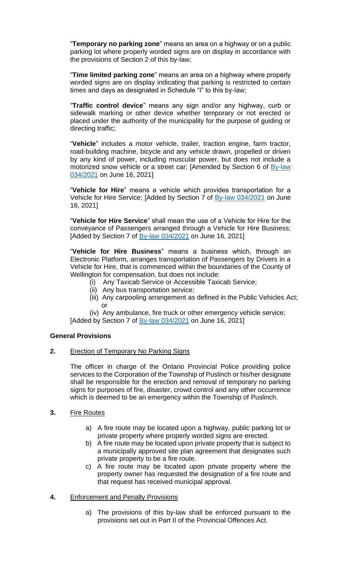"**Temporary no parking zone**" means an area on a highway or on a public parking lot where properly worded signs are on display in accordance with the provisions of Section 2 of this by-law;

"**Time limited parking zone**" means an area on a highway where properly worded signs are on display indicating that parking is restricted to certain times and days as designated in Schedule "I" to this by-law;

"**Traffic control device**" means any sign and/or any highway, curb or sidewalk marking or other device whether temporary or not erected or placed under the authority of the municipality for the purpose of guiding or directing traffic;

"**Vehicle**" includes a motor vehicle, trailer, traction engine, farm tractor, road-building machine, bicycle and any vehicle drawn, propelled or driven by any kind of power, including muscular power, but does not include a motorized snow vehicle or a street car; [Amended by Section 6 of **By-law** [034/2021](https://puslinch.ca/wp-content/uploads/2022/02/BL2021-034-Parking-By-law-Amendment.pdf) on June 16, 2021]

"**Vehicle for Hire**" means a vehicle which provides transportation for a Vehicle for Hire Service; [Added by Section 7 of [By-law 034/2021](https://puslinch.ca/wp-content/uploads/2022/02/BL2021-034-Parking-By-law-Amendment.pdf) on June 16, 2021]

"**Vehicle for Hire Service**" shall mean the use of a Vehicle for Hire for the conveyance of Passengers arranged through a Vehicle for Hire Business; [Added by Section 7 of **By-law 034/2021** on June 16, 2021]

"**Vehicle for Hire Business**" means a business which, through an Electronic Platform, arranges transportation of Passengers by Drivers in a Vehicle for Hire, that is commenced within the boundaries of the County of Wellington for compensation, but does not include:

- (i) Any Taxicab Service or Accessible Taxicab Service;
- (ii) Any bus transportation service;
- (iii) Any carpooling arrangement as defined in the Public Vehicles Act; or
- (iv) Any ambulance, fire truck or other emergency vehicle service;

[Added by Section 7 of **By-law 034/2021** on June 16, 2021]

### **General Provisions**

**2.** Erection of Temporary No Parking Signs

The officer in charge of the Ontario Provincial Police providing police services to the Corporation of the Township of Puslinch or his/her designate shall be responsible for the erection and removal of temporary no parking signs for purposes of fire, disaster, crowd control and any other occurrence which is deemed to be an emergency within the Township of Puslinch.

- **3.** Fire Routes
	- a) A fire route may be located upon a highway, public parking lot or private property where properly worded signs are erected.
	- b) A fire route may be located upon private property that is subject to a municipally approved site plan agreement that designates such private property to be a fire route.
	- c) A fire route may be located upon private property where the property owner has requested the designation of a fire route and that request has received municipal approval.

### **4.** Enforcement and Penalty Provisions

a) The provisions of this by-law shall be enforced pursuant to the provisions set out in Part II of the Provincial Offences Act.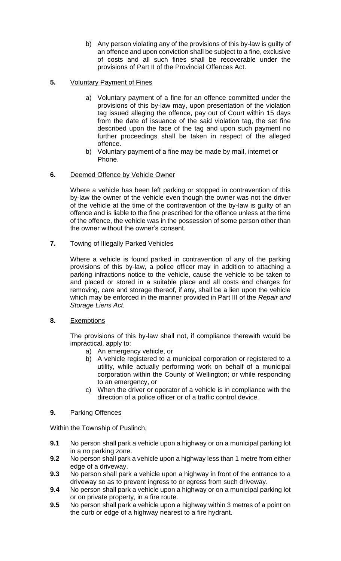- b) Any person violating any of the provisions of this by-law is guilty of an offence and upon conviction shall be subject to a fine, exclusive of costs and all such fines shall be recoverable under the provisions of Part II of the Provincial Offences Act.
- **5.** Voluntary Payment of Fines
	- a) Voluntary payment of a fine for an offence committed under the provisions of this by-law may, upon presentation of the violation tag issued alleging the offence, pay out of Court within 15 days from the date of issuance of the said violation tag, the set fine described upon the face of the tag and upon such payment no further proceedings shall be taken in respect of the alleged offence.
	- b) Voluntary payment of a fine may be made by mail, internet or Phone.

### **6.** Deemed Offence by Vehicle Owner

Where a vehicle has been left parking or stopped in contravention of this by-law the owner of the vehicle even though the owner was not the driver of the vehicle at the time of the contravention of the by-law is guilty of an offence and is liable to the fine prescribed for the offence unless at the time of the offence, the vehicle was in the possession of some person other than the owner without the owner's consent.

**7.** Towing of Illegally Parked Vehicles

Where a vehicle is found parked in contravention of any of the parking provisions of this by-law, a police officer may in addition to attaching a parking infractions notice to the vehicle, cause the vehicle to be taken to and placed or stored in a suitable place and all costs and charges for removing, care and storage thereof, if any, shall be a lien upon the vehicle which may be enforced in the manner provided in Part III of the *Repair and Storage Liens Act.*

**8.** Exemptions

The provisions of this by-law shall not, if compliance therewith would be impractical, apply to:

- a) An emergency vehicle, or
- b) A vehicle registered to a municipal corporation or registered to a utility, while actually performing work on behalf of a municipal corporation within the County of Wellington; or while responding to an emergency, or
- c) When the driver or operator of a vehicle is in compliance with the direction of a police officer or of a traffic control device.

### **9.** Parking Offences

Within the Township of Puslinch,

- **9.1** No person shall park a vehicle upon a highway or on a municipal parking lot in a no parking zone.
- **9.2** No person shall park a vehicle upon a highway less than 1 metre from either edge of a driveway.
- **9.3** No person shall park a vehicle upon a highway in front of the entrance to a driveway so as to prevent ingress to or egress from such driveway.
- **9.4** No person shall park a vehicle upon a highway or on a municipal parking lot or on private property, in a fire route.
- **9.5** No person shall park a vehicle upon a highway within 3 metres of a point on the curb or edge of a highway nearest to a fire hydrant.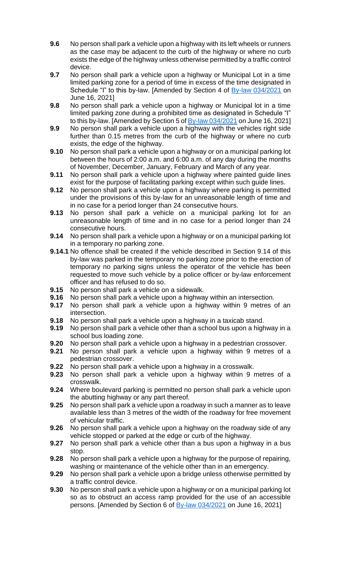- **9.6** No person shall park a vehicle upon a highway with its left wheels or runners as the case may be adjacent to the curb of the highway or where no curb exists the edge of the highway unless otherwise permitted by a traffic control device.
- **9.7** No person shall park a vehicle upon a highway or Municipal Lot in a time limited parking zone for a period of time in excess of the time designated in Schedule "I" to this by-law. [Amended by Section 4 of [By-law 034/2021](https://puslinch.ca/wp-content/uploads/2022/02/BL2021-034-Parking-By-law-Amendment.pdf) on June 16, 2021]
- **9.8** No person shall park a vehicle upon a highway or Municipal lot in a time limited parking zone during a prohibited time as designated in Schedule "I" to this by-law. [Amended by Section 5 of  $\frac{By-law 034/2021}{Byl}$  on June 16, 2021]
- **9.9** No person shall park a vehicle upon a highway with the vehicles right side further than 0.15 metres from the curb of the highway or where no curb exists, the edge of the highway.
- **9.10** No person shall park a vehicle upon a highway or on a municipal parking lot between the hours of 2:00 a.m. and 6:00 a.m. of any day during the months of November, December, January, February and March of any year.
- **9.11** No person shall park a vehicle upon a highway where painted guide lines exist for the purpose of facilitating parking except within such guide lines.
- **9.12** No person shall park a vehicle upon a highway where parking is permitted under the provisions of this by-law for an unreasonable length of time and in no case for a period longer than 24 consecutive hours.
- **9.13** No person shall park a vehicle on a municipal parking lot for an unreasonable length of time and in no case for a period longer than 24 consecutive hours.
- **9.14** No person shall park a vehicle upon a highway or on a municipal parking lot in a temporary no parking zone.
- **9.14.1** No offence shall be created if the vehicle described in Section 9.14 of this by-law was parked in the temporary no parking zone prior to the erection of temporary no parking signs unless the operator of the vehicle has been requested to move such vehicle by a police officer or by-law enforcement officer and has refused to do so.
- **9.15** No person shall park a vehicle on a sidewalk.
- **9.16** No person shall park a vehicle upon a highway within an intersection.
- **9.17** No person shall park a vehicle upon a highway within 9 metres of an intersection.
- **9.18** No person shall park a vehicle upon a highway in a taxicab stand.
- **9.19** No person shall park a vehicle other than a school bus upon a highway in a school bus loading zone.
- **9.20** No person shall park a vehicle upon a highway in a pedestrian crossover.
- **9.21** No person shall park a vehicle upon a highway within 9 metres of a pedestrian crossover.
- **9.22** No person shall park a vehicle upon a highway in a crosswalk.
- **9.23** No person shall park a vehicle upon a highway within 9 metres of a crosswalk.
- **9.24** Where boulevard parking is permitted no person shall park a vehicle upon the abutting highway or any part thereof.
- **9.25** No person shall park a vehicle upon a roadway in such a manner as to leave available less than 3 metres of the width of the roadway for free movement of vehicular traffic.
- **9.26** No person shall park a vehicle upon a highway on the roadway side of any vehicle stopped or parked at the edge or curb of the highway.
- **9.27** No person shall park a vehicle other than a bus upon a highway in a bus stop.
- **9.28** No person shall park a vehicle upon a highway for the purpose of repairing, washing or maintenance of the vehicle other than in an emergency.
- **9.29** No person shall park a vehicle upon a bridge unless otherwise permitted by a traffic control device.
- **9.30** No person shall park a vehicle upon a highway or on a municipal parking lot so as to obstruct an access ramp provided for the use of an accessible persons. [Amended by Section 6 of [By-law 034/2021](https://puslinch.ca/wp-content/uploads/2022/02/BL2021-034-Parking-By-law-Amendment.pdf) on June 16, 2021]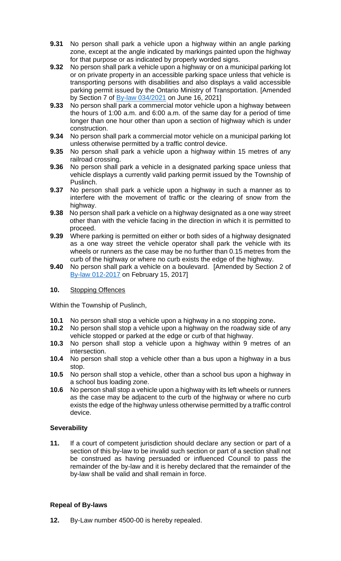- **9.31** No person shall park a vehicle upon a highway within an angle parking zone, except at the angle indicated by markings painted upon the highway for that purpose or as indicated by properly worded signs.
- **9.32** No person shall park a vehicle upon a highway or on a municipal parking lot or on private property in an accessible parking space unless that vehicle is transporting persons with disabilities and also displays a valid accessible parking permit issued by the Ontario Ministry of Transportation. [Amended by Section 7 of **By-law 034/2021** on June 16, 2021]
- **9.33** No person shall park a commercial motor vehicle upon a highway between the hours of 1:00 a.m. and 6:00 a.m. of the same day for a period of time longer than one hour other than upon a section of highway which is under construction.
- **9.34** No person shall park a commercial motor vehicle on a municipal parking lot unless otherwise permitted by a traffic control device.
- **9.35** No person shall park a vehicle upon a highway within 15 metres of any railroad crossing.
- **9.36** No person shall park a vehicle in a designated parking space unless that vehicle displays a currently valid parking permit issued by the Township of Puslinch.
- **9.37** No person shall park a vehicle upon a highway in such a manner as to interfere with the movement of traffic or the clearing of snow from the highway.
- **9.38** No person shall park a vehicle on a highway designated as a one way street other than with the vehicle facing in the direction in which it is permitted to proceed.
- **9.39** Where parking is permitted on either or both sides of a highway designated as a one way street the vehicle operator shall park the vehicle with its wheels or runners as the case may be no further than 0.15 metres from the curb of the highway or where no curb exists the edge of the highway.
- **9.40** No person shall park a vehicle on a boulevard. [Amended by Section 2 of [By-law 012-2017](https://puslinch.ca/wp-content/uploads/2022/02/BL2017-012-Amend-BY-law-5000-05-being-the-parking-by-law.pdf) on February 15, 2017]

### **10.** Stopping Offences

Within the Township of Puslinch,

- **10.1** No person shall stop a vehicle upon a highway in a no stopping zone**.**
- **10.2** No person shall stop a vehicle upon a highway on the roadway side of any vehicle stopped or parked at the edge or curb of that highway.
- **10.3** No person shall stop a vehicle upon a highway within 9 metres of an intersection.
- **10.4** No person shall stop a vehicle other than a bus upon a highway in a bus stop.
- **10.5** No person shall stop a vehicle, other than a school bus upon a highway in a school bus loading zone.
- **10.6** No person shall stop a vehicle upon a highway with its left wheels or runners as the case may be adjacent to the curb of the highway or where no curb exists the edge of the highway unless otherwise permitted by a traffic control device.

### **Severability**

**11.** If a court of competent jurisdiction should declare any section or part of a section of this by-law to be invalid such section or part of a section shall not be construed as having persuaded or influenced Council to pass the remainder of the by-law and it is hereby declared that the remainder of the by-law shall be valid and shall remain in force.

### **Repeal of By-laws**

**12.** By-Law number 4500-00 is hereby repealed.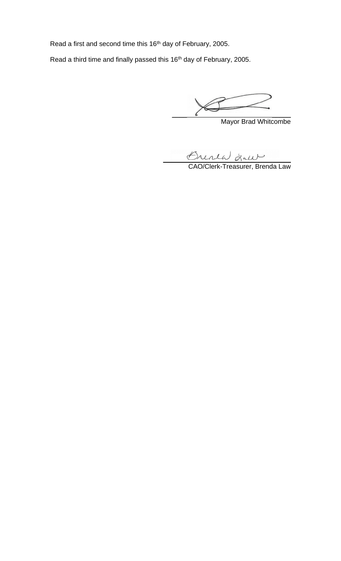Read a first and second time this 16<sup>th</sup> day of February, 2005.

Read a third time and finally passed this 16<sup>th</sup> day of February, 2005.

 $\qquad \qquad \qquad \qquad$ 

Mayor Brad Whitcombe

Crisia Lui

CAO/Clerk-Treasurer, Brenda Law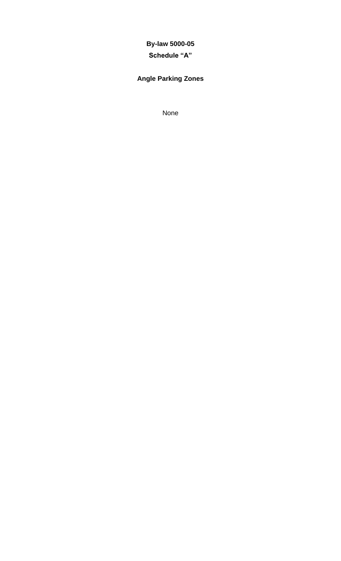## **By-law 5000-05**

### **Schedule "A"**

## **Angle Parking Zones**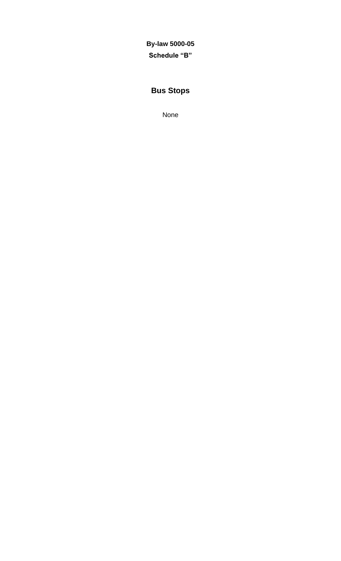**By-law 5000-05 Schedule "B"**

## **Bus Stops**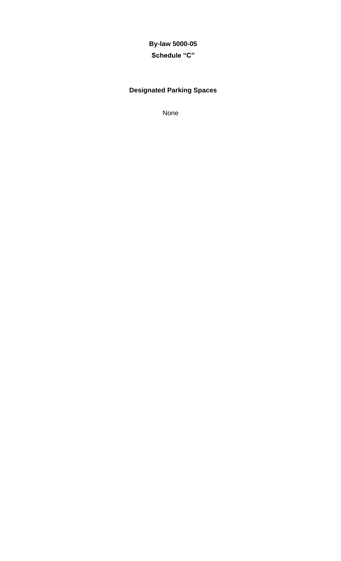# **By-law 5000-05**

## **Schedule "C"**

## **Designated Parking Spaces**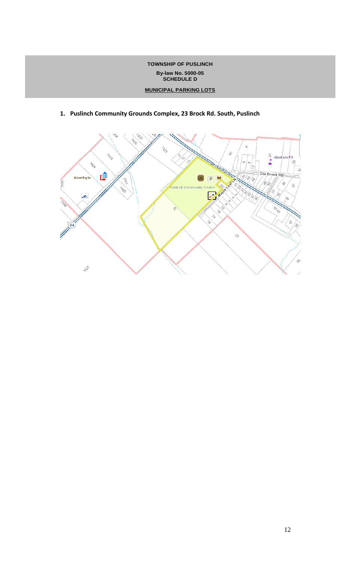#### **TOWNSHIP OF PUSLINCH By-law No. 5000-05 SCHEDULE D**

#### **MUNICIPAL PARKING LOTS**

- z ż. ý. È,  $\stackrel{\scriptscriptstyle \lambda}{\scriptscriptstyle \gamma}_0$  $\mathcal{S}_{C}$  $\overline{\mathbf{r}}$ Aberfoyle ,<br>S TADA s. l co æ OCK RO ¦e  $\hat{z}$ Old Brock RD: ■ Aberfoyle  $cc$ ų kg  $|P|$  $\frac{1}{\sqrt{2}}$ Þ, 7396 v  $\hat{\gamma}$ Puslinch Community r<br>Pos Z.  $\overline{2}$ /8) بكير 3388 ç, s, 148<br>S n. È z, r. A 34  $\hat{\mathcal{O}}_{\widehat{J}}$ ఫ్టర్ 小心
- **1. Puslinch Community Grounds Complex, 23 Brock Rd. South, Puslinch**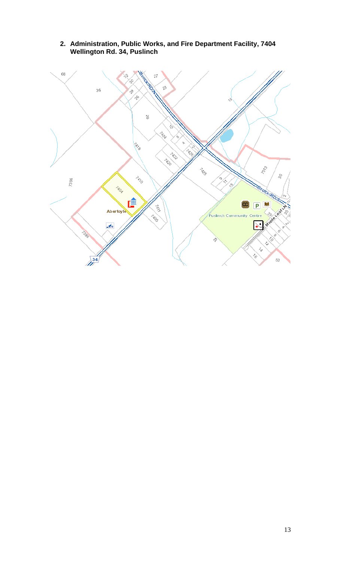

**2. Administration, Public Works, and Fire Department Facility, 7404 Wellington Rd. 34, Puslinch**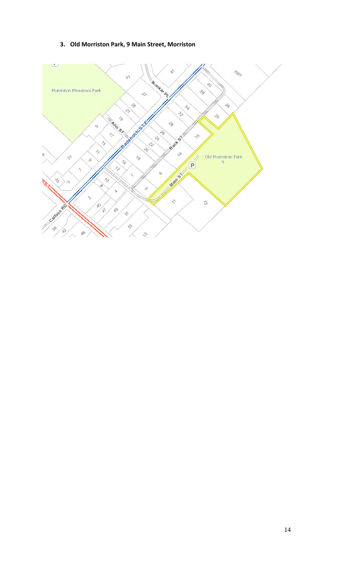### **3. Old Morriston Park, 9 Main Street, Morriston**

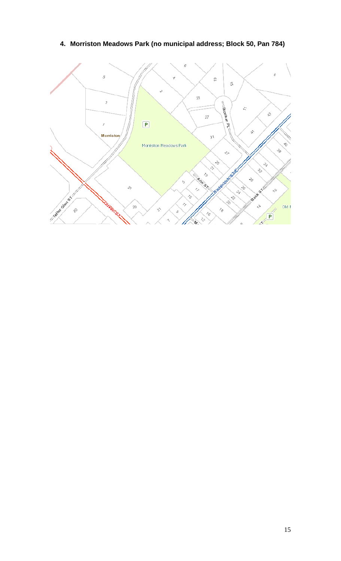## **4. Morriston Meadows Park (no municipal address; Block 50, Pan 784)**

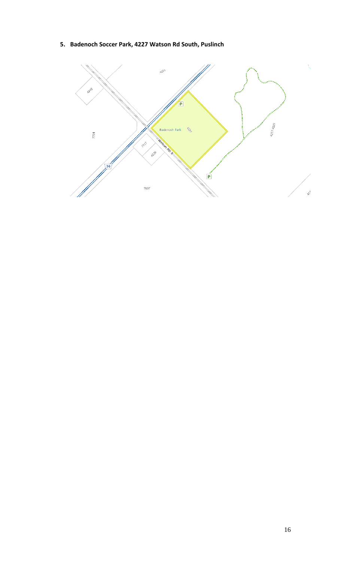**5. Badenoch Soccer Park, 4227 Watson Rd South, Puslinch**

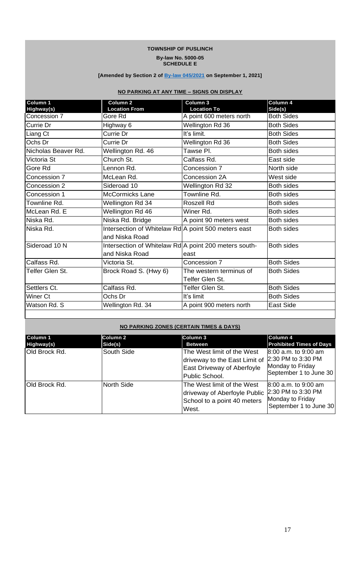#### **TOWNSHIP OF PUSLINCH By-law No. 5000-05 SCHEDULE E**

#### **[Amended by Section 2 of [By-law 045/2021](https://puslinch.ca/wp-content/uploads/2022/02/BL2021-045-Parking-By-law-Amendment.pdf) on September 1, 2021]**

### **NO PARKING AT ANY TIME – SIGNS ON DISPLAY**

| Column 1<br>Highway(s) | Column <sub>2</sub><br><b>Location From</b>                             | Column 3<br><b>Location To</b>             | Column 4<br>Side(s) |
|------------------------|-------------------------------------------------------------------------|--------------------------------------------|---------------------|
| Concession 7           | Gore Rd                                                                 | A point 600 meters north                   | <b>Both Sides</b>   |
| Currie Dr              | Highway 6                                                               | Wellington Rd 36                           | <b>Both Sides</b>   |
| Liang Ct               | Currie Dr                                                               | It's limit.                                | <b>Both Sides</b>   |
| Ochs Dr                | Currie Dr                                                               | Wellington Rd 36                           | <b>Both Sides</b>   |
| Nicholas Beaver Rd.    | Wellington Rd. 46                                                       | Tawse Pl.                                  | <b>Both sides</b>   |
| Victoria St            | Church St.                                                              | Calfass Rd.                                | East side           |
| Gore Rd                | Lennon Rd.                                                              | Concession 7                               | North side          |
| Concession 7           | McLean Rd.                                                              | Concession 2A                              | West side           |
| Concession 2           | Sideroad 10                                                             | Wellington Rd 32                           | <b>Both sides</b>   |
| Concession 1           | <b>McCormicks Lane</b>                                                  | Townline Rd.                               | <b>Both sides</b>   |
| Townline Rd.           | Wellington Rd 34                                                        | <b>Roszell Rd</b>                          | <b>Both sides</b>   |
| McLean Rd. E           | Wellington Rd 46                                                        | Winer Rd.                                  | <b>Both sides</b>   |
| Niska Rd.              | Niska Rd. Bridge                                                        | A point 90 meters west                     | <b>Both sides</b>   |
| Niska Rd.              | Intersection of Whitelaw Rd A point 500 meters east<br>and Niska Road   |                                            | <b>Both sides</b>   |
| Sideroad 10 N          | Intersection of Whitelaw Rd A point 200 meters south-<br>and Niska Road | east                                       | <b>Both sides</b>   |
| Calfass Rd.            | Victoria St.                                                            | Concession 7                               | <b>Both Sides</b>   |
| Telfer Glen St.        | Brock Road S. (Hwy 6)                                                   | The western terminus of<br>Telfer Glen St. | <b>Both Sides</b>   |
| Settlers Ct.           | Calfass Rd.                                                             | Telfer Glen St.                            | <b>Both Sides</b>   |
| Winer Ct               | Ochs Dr                                                                 | It's limit                                 | <b>Both Sides</b>   |
| Watson Rd. S           | Wellington Rd. 34                                                       | A point 900 meters north                   | <b>East Side</b>    |

#### **NO PARKING ZONES (CERTAIN TIMES & DAYS)**

| Column 1<br>Highway(s) | Column 2<br>Side(s) | Column 3<br>Between                                                                                                | Column 4<br><b>Prohibited Times of Days</b>                                              |
|------------------------|---------------------|--------------------------------------------------------------------------------------------------------------------|------------------------------------------------------------------------------------------|
| Old Brock Rd.          | South Side          | The West limit of the West<br>driveway to the East Limit of<br><b>East Driveway of Aberfoyle</b><br>Public School. | 8:00 a.m. to 9:00 am<br>2:30 PM to 3:30 PM<br>Monday to Friday<br>September 1 to June 30 |
| Old Brock Rd.          | North Side          | The West limit of the West<br>driveway of Aberfoyle Public<br>School to a point 40 meters<br>West.                 | 8:00 a.m. to 9:00 am<br>2:30 PM to 3:30 PM<br>Monday to Friday<br>September 1 to June 30 |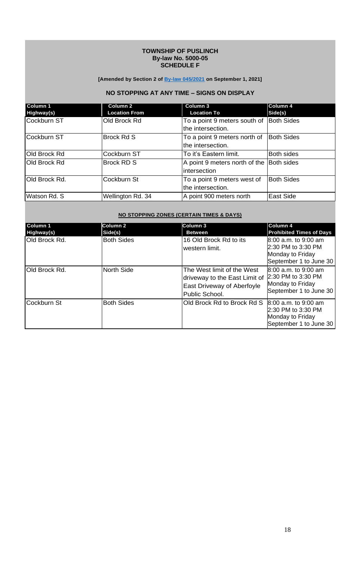#### **TOWNSHIP OF PUSLINCH By-law No. 5000-05 SCHEDULE F**

#### **[Amended by Section 2 of [By-law 045/2021](https://puslinch.ca/wp-content/uploads/2022/02/BL2021-045-Parking-By-law-Amendment.pdf) on September 1, 2021]**

### **NO STOPPING AT ANY TIME – SIGNS ON DISPLAY**

| Column 1<br>Highway(s) | <b>Column 2</b><br><b>Location From</b> | Column 3<br><b>Location To</b>                    | <b>Column 4</b><br>Side(s) |
|------------------------|-----------------------------------------|---------------------------------------------------|----------------------------|
| Cockburn ST            | Old Brock Rd                            | To a point 9 meters south of<br>the intersection. | <b>Both Sides</b>          |
| Cockburn ST            | <b>Brock Rd S</b>                       | To a point 9 meters north of<br>the intersection. | <b>Both Sides</b>          |
| Old Brock Rd           | Cockburn ST                             | To it's Eastern limit.                            | <b>Both sides</b>          |
| Old Brock Rd           | <b>Brock RD S</b>                       | A point 9 meters north of the<br>intersection     | <b>Both sides</b>          |
| Old Brock Rd.          | Cockburn St                             | To a point 9 meters west of<br>the intersection.  | <b>Both Sides</b>          |
| Watson Rd. S           | Wellington Rd. 34                       | A point 900 meters north                          | <b>East Side</b>           |

#### **NO STOPPING ZONES (CERTAIN TIMES & DAYS)**

| Column 1<br>Highway(s) | Column 2<br>Side(s) | Column 3<br><b>Between</b>                                                                                  | Column 4<br><b>Prohibited Times of Days</b>                                                |
|------------------------|---------------------|-------------------------------------------------------------------------------------------------------------|--------------------------------------------------------------------------------------------|
| <b>Old Brock Rd.</b>   | <b>Both Sides</b>   | 16 Old Brock Rd to its<br>western limit.                                                                    | $8:00$ a.m. to 9:00 am<br>2:30 PM to 3:30 PM<br>Monday to Friday<br>September 1 to June 30 |
| Old Brock Rd.          | North Side          | The West limit of the West<br>driveway to the East Limit of<br>East Driveway of Aberfoyle<br>Public School. | 8:00 a.m. to 9:00 am<br>2:30 PM to 3:30 PM<br>Monday to Friday<br>September 1 to June 30   |
| Cockburn St            | <b>Both Sides</b>   | Old Brock Rd to Brock Rd S                                                                                  | 8:00 a.m. to 9:00 am<br>2:30 PM to 3:30 PM<br>Monday to Friday<br>September 1 to June 30   |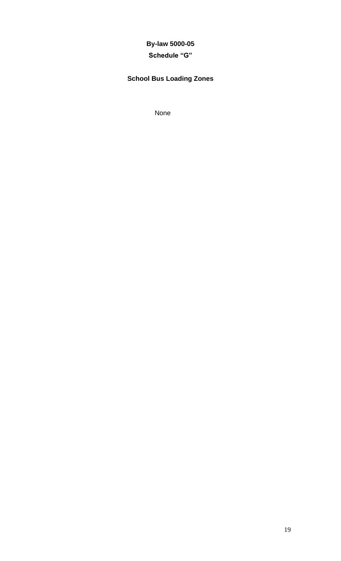## **By-law 5000-05**

## **Schedule "G"**

## **School Bus Loading Zones**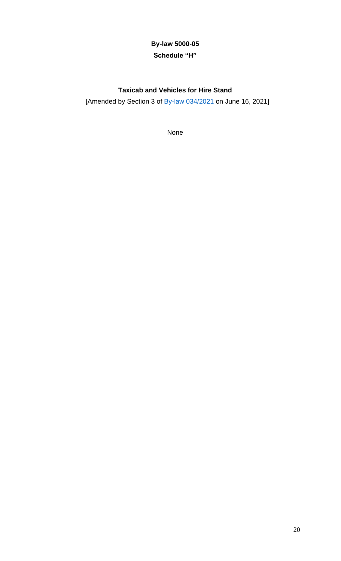## **By-law 5000-05 Schedule "H"**

## **Taxicab and Vehicles for Hire Stand**

[Amended by Section 3 of  $\frac{By-law 034/2021}{Byl}$  on June 16, 2021]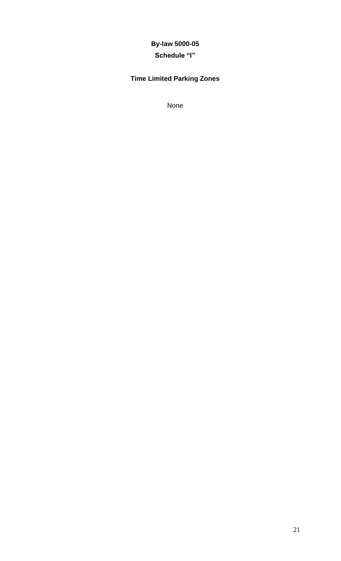## **By-law 5000-05**

## **Schedule "I"**

## **Time Limited Parking Zones**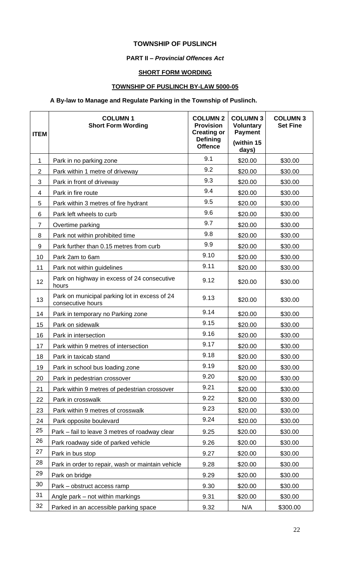### **TOWNSHIP OF PUSLINCH**

#### **PART II –** *Provincial Offences Act*

#### **SHORT FORM WORDING**

### **TOWNSHIP OF PUSLINCH BY-LAW 5000-05**

### **A By-law to Manage and Regulate Parking in the Township of Puslinch.**

| <b>ITEM</b>    | <b>COLUMN1</b><br><b>Short Form Wording</b>                        | <b>COLUMN 2</b><br><b>Provision</b><br><b>Creating or</b><br><b>Defining</b><br><b>Offence</b> | <b>COLUMN 3</b><br><b>Voluntary</b><br><b>Payment</b><br>(within 15<br>days) | <b>COLUMN 3</b><br><b>Set Fine</b> |
|----------------|--------------------------------------------------------------------|------------------------------------------------------------------------------------------------|------------------------------------------------------------------------------|------------------------------------|
| 1              | Park in no parking zone                                            | 9.1                                                                                            | \$20.00                                                                      | \$30.00                            |
| $\overline{2}$ | Park within 1 metre of driveway                                    | 9.2                                                                                            | \$20.00                                                                      | \$30.00                            |
| 3              | Park in front of driveway                                          | 9.3                                                                                            | \$20.00                                                                      | \$30.00                            |
| 4              | Park in fire route                                                 | 9.4                                                                                            | \$20.00                                                                      | \$30.00                            |
| 5              | Park within 3 metres of fire hydrant                               | 9.5                                                                                            | \$20.00                                                                      | \$30.00                            |
| 6              | Park left wheels to curb                                           | 9.6                                                                                            | \$20.00                                                                      | \$30.00                            |
| $\overline{7}$ | Overtime parking                                                   | 9.7                                                                                            | \$20.00                                                                      | \$30.00                            |
| 8              | Park not within prohibited time                                    | 9.8                                                                                            | \$20.00                                                                      | \$30.00                            |
| 9              | Park further than 0.15 metres from curb                            | 9.9                                                                                            | \$20.00                                                                      | \$30.00                            |
| 10             | Park 2am to 6am                                                    | 9.10                                                                                           | \$20.00                                                                      | \$30.00                            |
| 11             | Park not within guidelines                                         | 9.11                                                                                           | \$20.00                                                                      | \$30.00                            |
| 12             | Park on highway in excess of 24 consecutive<br>hours               | 9.12                                                                                           | \$20.00                                                                      | \$30.00                            |
| 13             | Park on municipal parking lot in excess of 24<br>consecutive hours | 9.13                                                                                           | \$20.00                                                                      | \$30.00                            |
| 14             | Park in temporary no Parking zone                                  | 9.14                                                                                           | \$20.00                                                                      | \$30.00                            |
| 15             | Park on sidewalk                                                   | 9.15                                                                                           | \$20.00                                                                      | \$30.00                            |
| 16             | Park in intersection                                               | 9.16                                                                                           | \$20.00                                                                      | \$30.00                            |
| 17             | Park within 9 metres of intersection                               | 9.17                                                                                           | \$20.00                                                                      | \$30.00                            |
| 18             | Park in taxicab stand                                              | 9.18                                                                                           | \$20.00                                                                      | \$30.00                            |
| 19             | Park in school bus loading zone                                    | 9.19                                                                                           | \$20.00                                                                      | \$30.00                            |
| 20             | Park in pedestrian crossover                                       | 9.20                                                                                           | \$20.00                                                                      | \$30.00                            |
| 21             | Park within 9 metres of pedestrian crossover                       | 9.21                                                                                           | \$20.00                                                                      | \$30.00                            |
| 22             | Park in crosswalk                                                  | 9.22                                                                                           | \$20.00                                                                      | \$30.00                            |
| 23             | Park within 9 metres of crosswalk                                  | 9.23                                                                                           | \$20.00                                                                      | \$30.00                            |
| 24             | Park opposite boulevard                                            | 9.24                                                                                           | \$20.00                                                                      | \$30.00                            |
| 25             | Park – fail to leave 3 metres of roadway clear                     | 9.25                                                                                           | \$20.00                                                                      | \$30.00                            |
| 26             | Park roadway side of parked vehicle                                | 9.26                                                                                           | \$20.00                                                                      | \$30.00                            |
| 27             | Park in bus stop                                                   | 9.27                                                                                           | \$20.00                                                                      | \$30.00                            |
| 28             | Park in order to repair, wash or maintain vehicle                  | 9.28                                                                                           | \$20.00                                                                      | \$30.00                            |
| 29             | Park on bridge                                                     | 9.29                                                                                           | \$20.00                                                                      | \$30.00                            |
| 30             | Park – obstruct access ramp                                        | 9.30                                                                                           | \$20.00                                                                      | \$30.00                            |
| 31             | Angle park – not within markings                                   | 9.31                                                                                           | \$20.00                                                                      | \$30.00                            |
| 32             | Parked in an accessible parking space                              | 9.32                                                                                           | N/A                                                                          | \$300.00                           |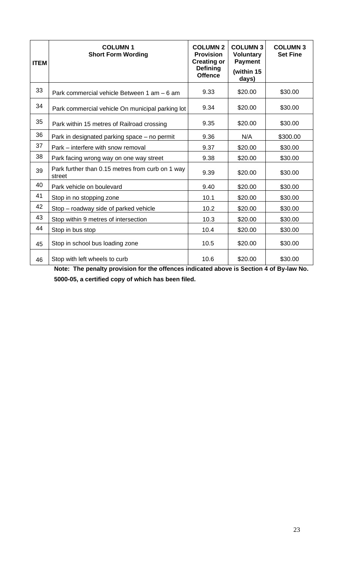| <b>ITEM</b> | <b>COLUMN1</b><br><b>Short Form Wording</b>                | <b>COLUMN 2</b><br><b>Provision</b><br><b>Creating or</b><br><b>Defining</b><br><b>Offence</b> | <b>COLUMN 3</b><br><b>Voluntary</b><br><b>Payment</b><br>(within 15<br>days) | <b>COLUMN 3</b><br><b>Set Fine</b> |
|-------------|------------------------------------------------------------|------------------------------------------------------------------------------------------------|------------------------------------------------------------------------------|------------------------------------|
| 33          | Park commercial vehicle Between 1 am - 6 am                | 9.33                                                                                           | \$20.00                                                                      | \$30.00                            |
| 34          | Park commercial vehicle On municipal parking lot           | 9.34                                                                                           | \$20.00                                                                      | \$30.00                            |
| 35          | Park within 15 metres of Railroad crossing                 | 9.35                                                                                           | \$20.00                                                                      | \$30.00                            |
| 36          | Park in designated parking space – no permit               | 9.36                                                                                           | N/A                                                                          | \$300.00                           |
| 37          | Park – interfere with snow removal                         | 9.37                                                                                           | \$20.00                                                                      | \$30.00                            |
| 38          | Park facing wrong way on one way street                    | 9.38                                                                                           | \$20.00                                                                      | \$30.00                            |
| 39          | Park further than 0.15 metres from curb on 1 way<br>street | 9.39                                                                                           | \$20.00                                                                      | \$30.00                            |
| 40          | Park vehicle on boulevard                                  | 9.40                                                                                           | \$20.00                                                                      | \$30.00                            |
| 41          | Stop in no stopping zone                                   | 10.1                                                                                           | \$20.00                                                                      | \$30.00                            |
| 42          | Stop – roadway side of parked vehicle                      | 10.2                                                                                           | \$20.00                                                                      | \$30.00                            |
| 43          | Stop within 9 metres of intersection                       | 10.3                                                                                           | \$20.00                                                                      | \$30.00                            |
| 44          | Stop in bus stop                                           | 10.4                                                                                           | \$20.00                                                                      | \$30.00                            |
| 45          | Stop in school bus loading zone                            | 10.5                                                                                           | \$20.00                                                                      | \$30.00                            |
| 46          | Stop with left wheels to curb                              | 10.6                                                                                           | \$20.00                                                                      | \$30.00                            |

**Note: The penalty provision for the offences indicated above is Section 4 of By-law No. 5000-05, a certified copy of which has been filed.**